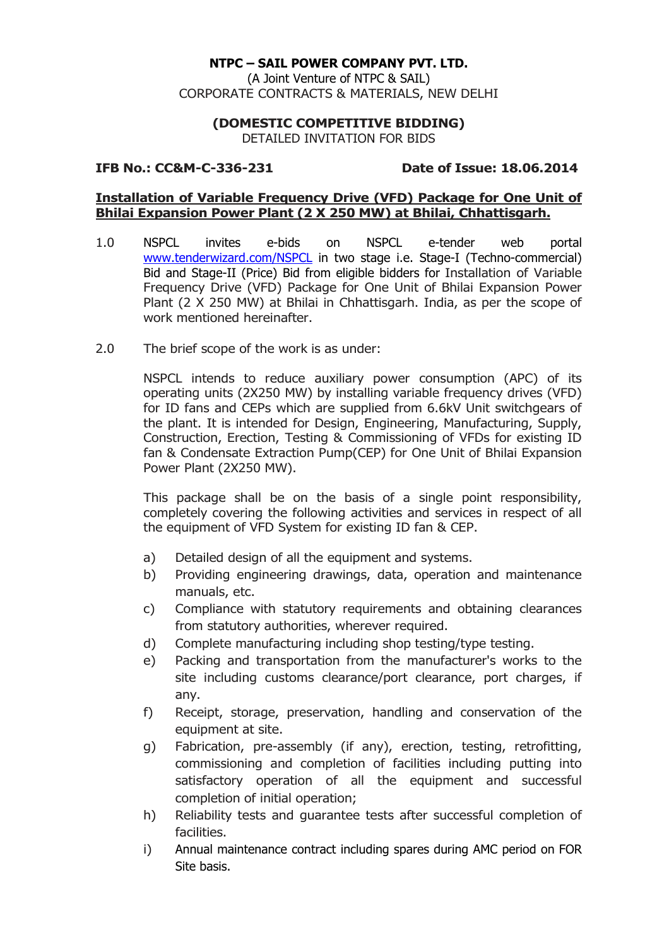#### NTPC – SAIL POWER COMPANY PVT. LTD.

(A Joint Venture of NTPC & SAIL) CORPORATE CONTRACTS & MATERIALS, NEW DELHI

# (DOMESTIC COMPETITIVE BIDDING)

DETAILED INVITATION FOR BIDS

# IFB No.: CC&M-C-336-231 Date of Issue: 18.06.2014

# Installation of Variable Frequency Drive (VFD) Package for One Unit of Bhilai Expansion Power Plant (2 X 250 MW) at Bhilai, Chhattisgarh.

- 1.0 NSPCL invites e-bids on NSPCL e-tender web portal www.tenderwizard.com/NSPCL in two stage i.e. Stage-I (Techno-commercial) Bid and Stage-II (Price) Bid from eligible bidders for Installation of Variable Frequency Drive (VFD) Package for One Unit of Bhilai Expansion Power Plant (2 X 250 MW) at Bhilai in Chhattisgarh. India, as per the scope of work mentioned hereinafter.
- 2.0 The brief scope of the work is as under:

 NSPCL intends to reduce auxiliary power consumption (APC) of its operating units (2X250 MW) by installing variable frequency drives (VFD) for ID fans and CEPs which are supplied from 6.6kV Unit switchgears of the plant. It is intended for Design, Engineering, Manufacturing, Supply, Construction, Erection, Testing & Commissioning of VFDs for existing ID fan & Condensate Extraction Pump(CEP) for One Unit of Bhilai Expansion Power Plant (2X250 MW).

 This package shall be on the basis of a single point responsibility, completely covering the following activities and services in respect of all the equipment of VFD System for existing ID fan & CEP.

- a) Detailed design of all the equipment and systems.
- b) Providing engineering drawings, data, operation and maintenance manuals, etc.
- c) Compliance with statutory requirements and obtaining clearances from statutory authorities, wherever required.
- d) Complete manufacturing including shop testing/type testing.
- e) Packing and transportation from the manufacturer's works to the site including customs clearance/port clearance, port charges, if any.
- f) Receipt, storage, preservation, handling and conservation of the equipment at site.
- g) Fabrication, pre-assembly (if any), erection, testing, retrofitting, commissioning and completion of facilities including putting into satisfactory operation of all the equipment and successful completion of initial operation;
- h) Reliability tests and guarantee tests after successful completion of facilities.
- i) Annual maintenance contract including spares during AMC period on FOR Site basis.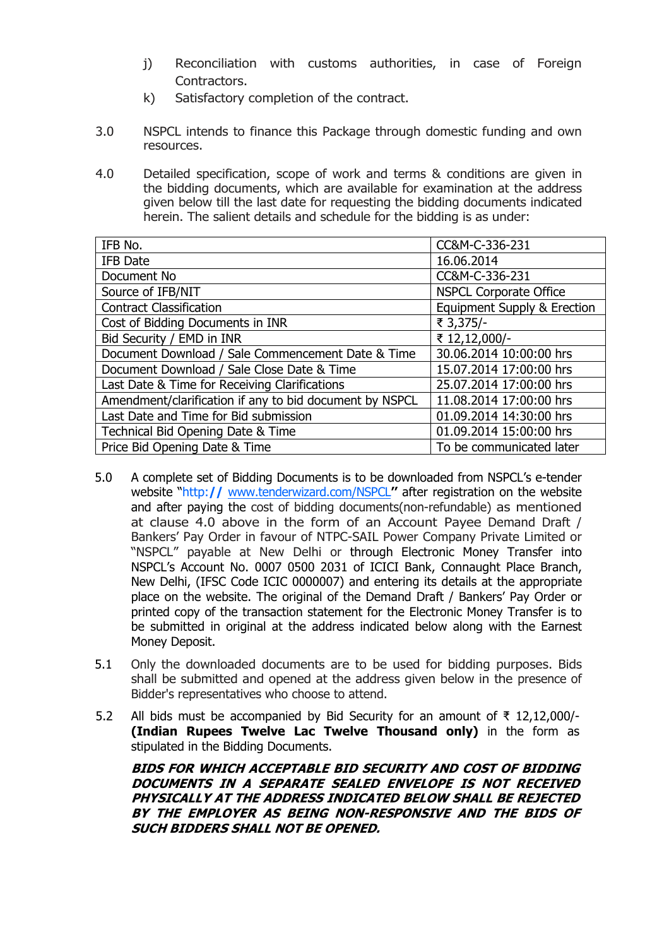- j) Reconciliation with customs authorities, in case of Foreign Contractors.
- k) Satisfactory completion of the contract.
- 3.0 NSPCL intends to finance this Package through domestic funding and own resources.
- 4.0 Detailed specification, scope of work and terms & conditions are given in the bidding documents, which are available for examination at the address given below till the last date for requesting the bidding documents indicated herein. The salient details and schedule for the bidding is as under:

| IFB No.                                                 | CC&M-C-336-231                |
|---------------------------------------------------------|-------------------------------|
| IFB Date                                                | 16.06.2014                    |
| Document No                                             | CC&M-C-336-231                |
| Source of IFB/NIT                                       | <b>NSPCL Corporate Office</b> |
| <b>Contract Classification</b>                          | Equipment Supply & Erection   |
| Cost of Bidding Documents in INR                        | ₹ 3,375/-                     |
| Bid Security / EMD in INR                               | ₹ 12,12,000/-                 |
| Document Download / Sale Commencement Date & Time       | 30.06.2014 10:00:00 hrs       |
| Document Download / Sale Close Date & Time              | 15.07.2014 17:00:00 hrs       |
| Last Date & Time for Receiving Clarifications           | 25.07.2014 17:00:00 hrs       |
| Amendment/clarification if any to bid document by NSPCL | 11.08.2014 17:00:00 hrs       |
| Last Date and Time for Bid submission                   | 01.09.2014 14:30:00 hrs       |
| Technical Bid Opening Date & Time                       | 01.09.2014 15:00:00 hrs       |
| Price Bid Opening Date & Time                           | To be communicated later      |

- 5.0 A complete set of Bidding Documents is to be downloaded from NSPCL's e-tender website "http:// www.tenderwizard.com/NSPCL" after registration on the website and after paying the cost of bidding documents(non-refundable) as mentioned at clause 4.0 above in the form of an Account Payee Demand Draft / Bankers' Pay Order in favour of NTPC-SAIL Power Company Private Limited or "NSPCL" payable at New Delhi or through Electronic Money Transfer into NSPCL's Account No. 0007 0500 2031 of ICICI Bank, Connaught Place Branch, New Delhi, (IFSC Code ICIC 0000007) and entering its details at the appropriate place on the website. The original of the Demand Draft / Bankers' Pay Order or printed copy of the transaction statement for the Electronic Money Transfer is to be submitted in original at the address indicated below along with the Earnest Money Deposit.
- 5.1 Only the downloaded documents are to be used for bidding purposes. Bids shall be submitted and opened at the address given below in the presence of Bidder's representatives who choose to attend.
- 5.2 All bids must be accompanied by Bid Security for an amount of  $\bar{\tau}$  12,12,000/-(Indian Rupees Twelve Lac Twelve Thousand only) in the form as stipulated in the Bidding Documents.

BIDS FOR WHICH ACCEPTABLE BID SECURITY AND COST OF BIDDING DOCUMENTS IN A SEPARATE SEALED ENVELOPE IS NOT RECEIVED PHYSICALLY AT THE ADDRESS INDICATED BELOW SHALL BE REJECTED BY THE EMPLOYER AS BEING NON-RESPONSIVE AND THE BIDS OF SUCH BIDDERS SHALL NOT BE OPENED.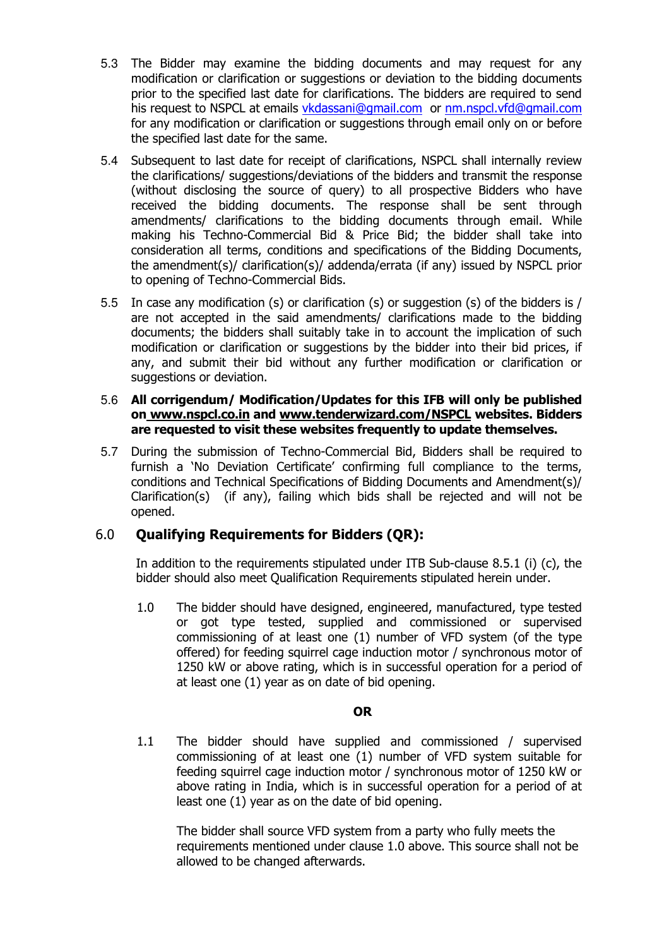- 5.3 The Bidder may examine the bidding documents and may request for any modification or clarification or suggestions or deviation to the bidding documents prior to the specified last date for clarifications. The bidders are required to send his request to NSPCL at emails vkdassani@gmail.com or nm.nspcl.vfd@gmail.com for any modification or clarification or suggestions through email only on or before the specified last date for the same.
- 5.4 Subsequent to last date for receipt of clarifications, NSPCL shall internally review the clarifications/ suggestions/deviations of the bidders and transmit the response (without disclosing the source of query) to all prospective Bidders who have received the bidding documents. The response shall be sent through amendments/ clarifications to the bidding documents through email. While making his Techno-Commercial Bid & Price Bid; the bidder shall take into consideration all terms, conditions and specifications of the Bidding Documents, the amendment(s)/ clarification(s)/ addenda/errata (if any) issued by NSPCL prior to opening of Techno-Commercial Bids.
- 5.5 In case any modification (s) or clarification (s) or suggestion (s) of the bidders is / are not accepted in the said amendments/ clarifications made to the bidding documents; the bidders shall suitably take in to account the implication of such modification or clarification or suggestions by the bidder into their bid prices, if any, and submit their bid without any further modification or clarification or suggestions or deviation.

### 5.6 All corrigendum/ Modification/Updates for this IFB will only be published on www.nspcl.co.in and www.tenderwizard.com/NSPCL websites. Bidders are requested to visit these websites frequently to update themselves.

5.7 During the submission of Techno-Commercial Bid, Bidders shall be required to furnish a 'No Deviation Certificate' confirming full compliance to the terms, conditions and Technical Specifications of Bidding Documents and Amendment(s)/ Clarification(s) (if any), failing which bids shall be rejected and will not be opened.

# 6.0 Qualifying Requirements for Bidders (QR):

In addition to the requirements stipulated under ITB Sub-clause 8.5.1 (i) (c), the bidder should also meet Qualification Requirements stipulated herein under.

1.0 The bidder should have designed, engineered, manufactured, type tested or got type tested, supplied and commissioned or supervised commissioning of at least one (1) number of VFD system (of the type offered) for feeding squirrel cage induction motor / synchronous motor of 1250 kW or above rating, which is in successful operation for a period of at least one (1) year as on date of bid opening.

#### OR

1.1 The bidder should have supplied and commissioned / supervised commissioning of at least one (1) number of VFD system suitable for feeding squirrel cage induction motor / synchronous motor of 1250 kW or above rating in India, which is in successful operation for a period of at least one (1) year as on the date of bid opening.

 The bidder shall source VFD system from a party who fully meets the requirements mentioned under clause 1.0 above. This source shall not be allowed to be changed afterwards.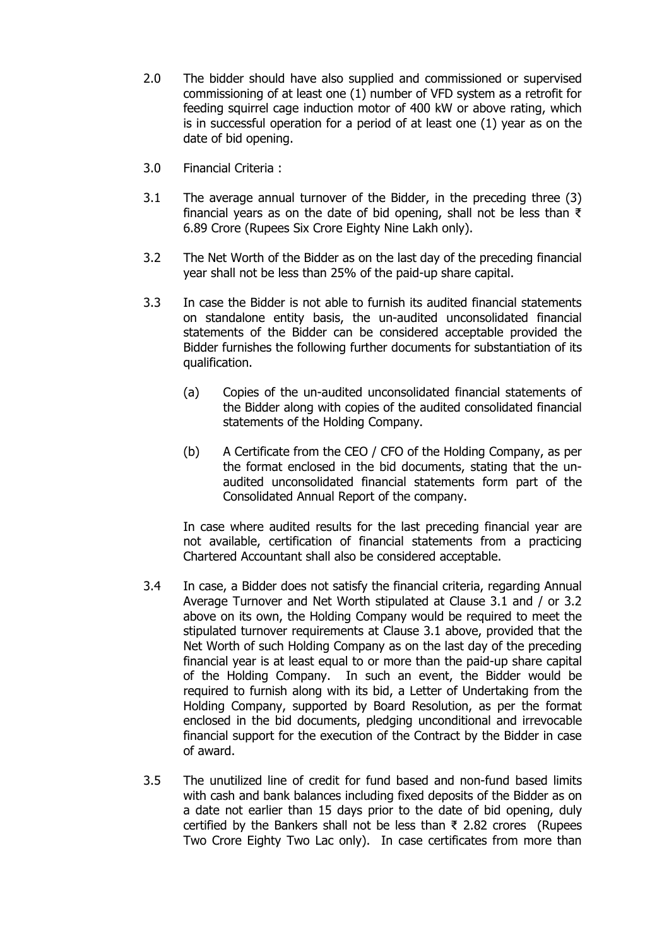- 2.0 The bidder should have also supplied and commissioned or supervised commissioning of at least one (1) number of VFD system as a retrofit for feeding squirrel cage induction motor of 400 kW or above rating, which is in successful operation for a period of at least one (1) year as on the date of bid opening.
- 3.0 Financial Criteria :
- 3.1 The average annual turnover of the Bidder, in the preceding three (3) financial years as on the date of bid opening, shall not be less than  $\bar{\tau}$ 6.89 Crore (Rupees Six Crore Eighty Nine Lakh only).
- 3.2 The Net Worth of the Bidder as on the last day of the preceding financial year shall not be less than 25% of the paid-up share capital.
- 3.3 In case the Bidder is not able to furnish its audited financial statements on standalone entity basis, the un-audited unconsolidated financial statements of the Bidder can be considered acceptable provided the Bidder furnishes the following further documents for substantiation of its qualification.
	- (a) Copies of the un-audited unconsolidated financial statements of the Bidder along with copies of the audited consolidated financial statements of the Holding Company.
	- (b) A Certificate from the CEO / CFO of the Holding Company, as per the format enclosed in the bid documents, stating that the unaudited unconsolidated financial statements form part of the Consolidated Annual Report of the company.

In case where audited results for the last preceding financial year are not available, certification of financial statements from a practicing Chartered Accountant shall also be considered acceptable.

- 3.4 In case, a Bidder does not satisfy the financial criteria, regarding Annual Average Turnover and Net Worth stipulated at Clause 3.1 and / or 3.2 above on its own, the Holding Company would be required to meet the stipulated turnover requirements at Clause 3.1 above, provided that the Net Worth of such Holding Company as on the last day of the preceding financial year is at least equal to or more than the paid-up share capital of the Holding Company. In such an event, the Bidder would be required to furnish along with its bid, a Letter of Undertaking from the Holding Company, supported by Board Resolution, as per the format enclosed in the bid documents, pledging unconditional and irrevocable financial support for the execution of the Contract by the Bidder in case of award.
- 3.5 The unutilized line of credit for fund based and non-fund based limits with cash and bank balances including fixed deposits of the Bidder as on a date not earlier than 15 days prior to the date of bid opening, duly certified by the Bankers shall not be less than ₹ 2.82 crores (Rupees Two Crore Eighty Two Lac only). In case certificates from more than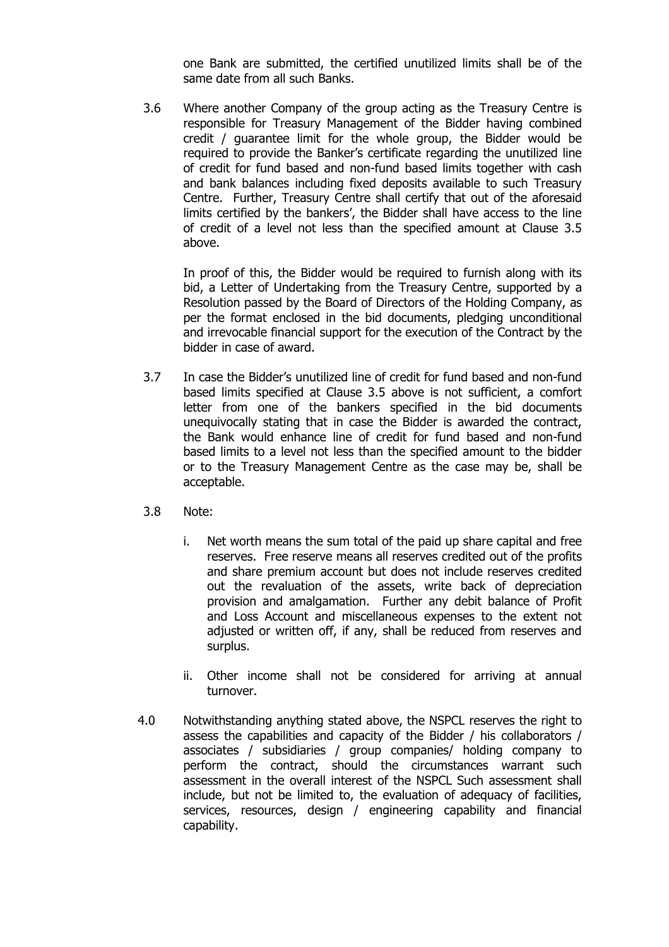one Bank are submitted, the certified unutilized limits shall be of the same date from all such Banks.

3.6 Where another Company of the group acting as the Treasury Centre is responsible for Treasury Management of the Bidder having combined credit / guarantee limit for the whole group, the Bidder would be required to provide the Banker's certificate regarding the unutilized line of credit for fund based and non-fund based limits together with cash and bank balances including fixed deposits available to such Treasury Centre. Further, Treasury Centre shall certify that out of the aforesaid limits certified by the bankers', the Bidder shall have access to the line of credit of a level not less than the specified amount at Clause 3.5 above.

In proof of this, the Bidder would be required to furnish along with its bid, a Letter of Undertaking from the Treasury Centre, supported by a Resolution passed by the Board of Directors of the Holding Company, as per the format enclosed in the bid documents, pledging unconditional and irrevocable financial support for the execution of the Contract by the bidder in case of award.

- 3.7 In case the Bidder's unutilized line of credit for fund based and non-fund based limits specified at Clause 3.5 above is not sufficient, a comfort letter from one of the bankers specified in the bid documents unequivocally stating that in case the Bidder is awarded the contract, the Bank would enhance line of credit for fund based and non-fund based limits to a level not less than the specified amount to the bidder or to the Treasury Management Centre as the case may be, shall be acceptable.
- 3.8 Note:
	- i. Net worth means the sum total of the paid up share capital and free reserves. Free reserve means all reserves credited out of the profits and share premium account but does not include reserves credited out the revaluation of the assets, write back of depreciation provision and amalgamation. Further any debit balance of Profit and Loss Account and miscellaneous expenses to the extent not adjusted or written off, if any, shall be reduced from reserves and surplus.
	- ii. Other income shall not be considered for arriving at annual turnover.
- 4.0 Notwithstanding anything stated above, the NSPCL reserves the right to assess the capabilities and capacity of the Bidder / his collaborators / associates / subsidiaries / group companies/ holding company to perform the contract, should the circumstances warrant such assessment in the overall interest of the NSPCL Such assessment shall include, but not be limited to, the evaluation of adequacy of facilities, services, resources, design / engineering capability and financial capability.